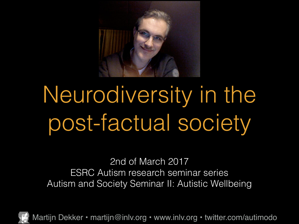

## Neurodiversity in the post-factual society

2nd of March 2017 ESRC Autism research seminar series Autism and Society Seminar II: Autistic Wellbeing

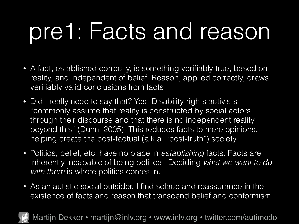#### pre1: Facts and reason

- A fact, established correctly, is something verifiably true, based on reality, and independent of belief. Reason, applied correctly, draws verifiably valid conclusions from facts.
- Did I really need to say that? Yes! Disability rights activists "commonly assume that reality is constructed by social actors through their discourse and that there is no independent reality beyond this" (Dunn, 2005). This reduces facts to mere opinions, helping create the post-factual (a.k.a. "post-truth") society.
- Politics, belief, etc. have no place in *establishing* facts. Facts are inherently incapable of being political. Deciding *what we want to do*  with them is where politics comes in.
- As an autistic social outsider, I find solace and reassurance in the existence of facts and reason that transcend belief and conformism.

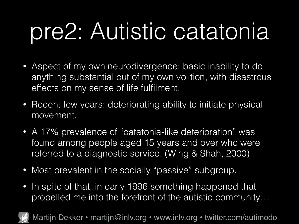## pre2: Autistic catatonia

- Aspect of my own neurodivergence: basic inability to do anything substantial out of my own volition, with disastrous effects on my sense of life fulfilment.
- Recent few years: deteriorating ability to initiate physical movement.
- A 17% prevalence of "catatonia-like deterioration" was found among people aged 15 years and over who were referred to a diagnostic service. (Wing & Shah, 2000)
- Most prevalent in the socially "passive" subgroup.
- In spite of that, in early 1996 something happened that propelled me into the forefront of the autistic community…

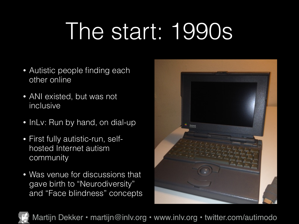#### The start: 1990s

- Autistic people finding each other online
- ANI existed, but was not inclusive
- InLv: Run by hand, on dial-up
- First fully autistic-run, selfhosted Internet autism community
- Was venue for discussions that gave birth to "Neurodiversity" and "Face blindness" concepts



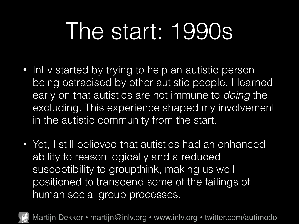#### The start: 1990s

- InLy started by trying to help an autistic person being ostracised by other autistic people. I learned early on that autistics are not immune to *doing* the excluding. This experience shaped my involvement in the autistic community from the start.
- Yet, I still believed that autistics had an enhanced ability to reason logically and a reduced susceptibility to groupthink, making us well positioned to transcend some of the failings of human social group processes.

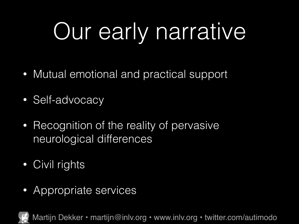# Our early narrative

- Mutual emotional and practical support
- Self-advocacy
- Recognition of the reality of pervasive neurological differences
- Civil rights
- Appropriate services

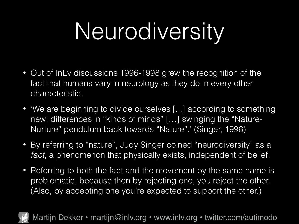## Neurodiversity

- Out of InLv discussions 1996-1998 grew the recognition of the fact that humans vary in neurology as they do in every other characteristic.
- 'We are beginning to divide ourselves [...] according to something new: differences in "kinds of minds" […] swinging the "Nature-Nurture" pendulum back towards "Nature".' (Singer, 1998)
- By referring to "nature", Judy Singer coined "neurodiversity" as a *fact*, a phenomenon that physically exists, independent of belief.
- Referring to both the fact and the movement by the same name is problematic, because then by rejecting one, you reject the other. (Also, by accepting one you're expected to support the other.)

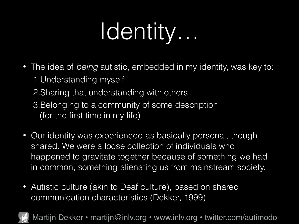## Identity…

- The idea of *being* autistic, embedded in my identity, was key to: 1.Understanding myself
	- 2.Sharing that understanding with others
	- 3.Belonging to a community of some description (for the first time in my life)
- Our identity was experienced as basically personal, though shared. We were a loose collection of individuals who happened to gravitate together because of something we had in common, something alienating us from mainstream society.
- Autistic culture (akin to Deaf culture), based on shared communication characteristics (Dekker, 1999)

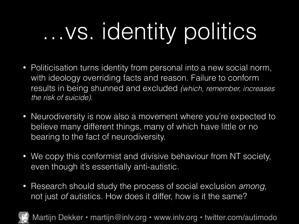# …vs. identity politics

- Politicisation turns identity from personal into a new social norm, with ideology overriding facts and reason. Failure to conform results in being shunned and excluded *(which, remember, increases the risk of suicide).*
- Neurodiversity is now also a movement where you're expected to believe many different things, many of which have little or no bearing to the fact of neurodiversity.
- We copy this conformist and divisive behaviour from NT society, even though it's essentially anti-autistic.
- Research should study the process of social exclusion *among*, not just *of* autistics. How does it differ, how is it the same?

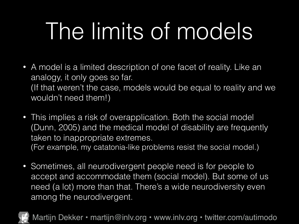#### The limits of models

- A model is a limited description of one facet of reality. Like an analogy, it only goes so far. (If that weren't the case, models would be equal to reality and we wouldn't need them!)
- This implies a risk of overapplication. Both the social model (Dunn, 2005) and the medical model of disability are frequently taken to inappropriate extremes. (For example, my catatonia-like problems resist the social model.)
- Sometimes, all neurodivergent people need is for people to accept and accommodate them (social model). But some of us need (a lot) more than that. There's a wide neurodiversity even among the neurodivergent.

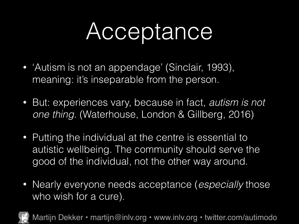#### Acceptance

- 'Autism is not an appendage' (Sinclair, 1993), meaning: it's inseparable from the person.
- But: experiences vary, because in fact, *autism is not one thing*. (Waterhouse, London & Gillberg, 2016)
- Putting the individual at the centre is essential to autistic wellbeing. The community should serve the good of the individual, not the other way around.
- Nearly everyone needs acceptance (*especially* those who wish for a cure).

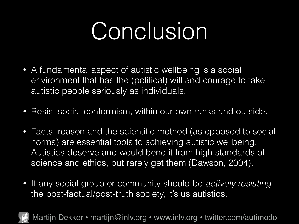#### Conclusion

- A fundamental aspect of autistic wellbeing is a social environment that has the (political) will and courage to take autistic people seriously as individuals.
- Resist social conformism, within our own ranks and outside.
- Facts, reason and the scientific method (as opposed to social norms) are essential tools to achieving autistic wellbeing. Autistics deserve and would benefit from high standards of science and ethics, but rarely get them (Dawson, 2004).
- If any social group or community should be *actively resisting* the post-factual/post-truth society, it's us autistics.

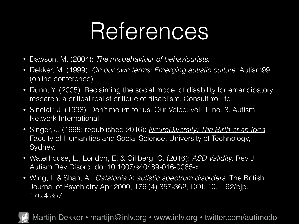#### References

- Dawson, M. (2004): *[The misbehaviour of behaviourists](http://www.sentex.net/~nexus23/naa_aba.html)*.
- Dekker, M. (1999): *[On our own terms: Emerging autistic culture](http://www.autscape.org/2015/programme/handouts/Autistic-Culture-07-Oct-1999.pdf)*. Autism99 (online conference).
- Dunn, Y. (2005): Reclaiming the social model of disability for emancipatory research: a critical realist critique of disablism. Consult Yo Ltd.
- Sinclair, J. (1993): [Don't mourn for us](http://www.autreat.com/dont_mourn.html). Our Voice: vol. 1, no. 3. Autism Network International.
- Singer, J. (1998; republished 2016): *[NeuroDiversity: The Birth of an Idea](https://www.amazon.co.uk/NeuroDiversity-Birth-Idea-Judy-Singer-ebook/dp/B01HY0QTEE/)*. Faculty of Humanities and Social Science, University of Technology, Sydney.
- Waterhouse, L., London, E. & Gillberg, C. (2016): *[ASD Validity](http://link.springer.com/article/10.1007/s40489-016-0085-x)*. Rev J Autism Dev Disord. doi:10.1007/s40489-016-0085-x
- Wing, L & Shah, A.: *[Catatonia in autistic spectrum disorders](http://bjp.rcpsych.org/content/176/4/357)*. The British Journal of Psychiatry Apr 2000, 176 (4) 357-362; DOI: 10.1192/bjp. 176.4.357